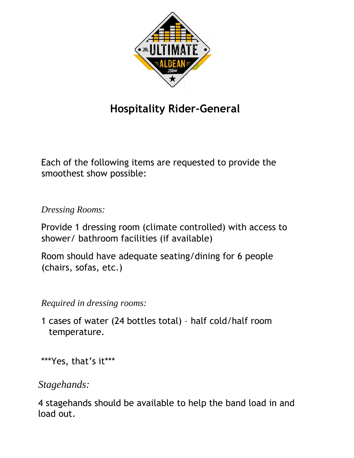

## **Hospitality Rider-General**

Each of the following items are requested to provide the smoothest show possible:

*Dressing Rooms:*

Provide 1 dressing room (climate controlled) with access to shower/ bathroom facilities (if available)

Room should have adequate seating/dining for 6 people (chairs, sofas, etc.)

*Required in dressing rooms:*

1 cases of water (24 bottles total) – half cold/half room temperature.

\*\*\*Yes, that's it\*\*\*

*Stagehands:*

4 stagehands should be available to help the band load in and load out.